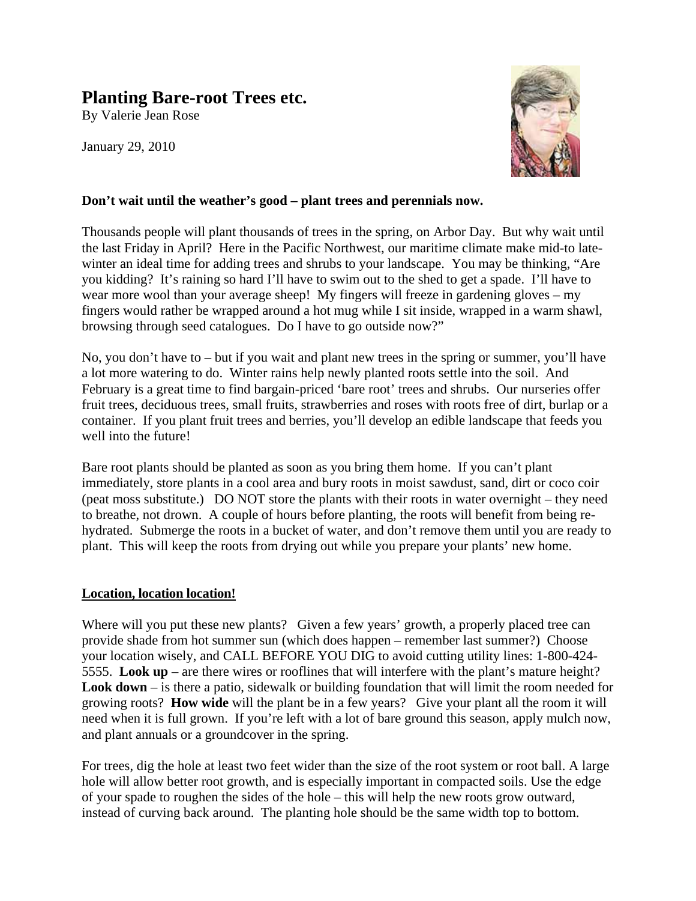## **Planting Bare-root Trees etc.**

By Valerie Jean Rose

January 29, 2010



#### **Don't wait until the weather's good – plant trees and perennials now.**

Thousands people will plant thousands of trees in the spring, on Arbor Day. But why wait until the last Friday in April? Here in the Pacific Northwest, our maritime climate make mid-to latewinter an ideal time for adding trees and shrubs to your landscape. You may be thinking, "Are you kidding? It's raining so hard I'll have to swim out to the shed to get a spade. I'll have to wear more wool than your average sheep! My fingers will freeze in gardening gloves – my fingers would rather be wrapped around a hot mug while I sit inside, wrapped in a warm shawl, browsing through seed catalogues. Do I have to go outside now?"

No, you don't have to – but if you wait and plant new trees in the spring or summer, you'll have a lot more watering to do. Winter rains help newly planted roots settle into the soil. And February is a great time to find bargain-priced 'bare root' trees and shrubs. Our nurseries offer fruit trees, deciduous trees, small fruits, strawberries and roses with roots free of dirt, burlap or a container. If you plant fruit trees and berries, you'll develop an edible landscape that feeds you well into the future!

Bare root plants should be planted as soon as you bring them home. If you can't plant immediately, store plants in a cool area and bury roots in moist sawdust, sand, dirt or coco coir (peat moss substitute.) DO NOT store the plants with their roots in water overnight – they need to breathe, not drown. A couple of hours before planting, the roots will benefit from being rehydrated. Submerge the roots in a bucket of water, and don't remove them until you are ready to plant. This will keep the roots from drying out while you prepare your plants' new home.

#### **Location, location location!**

Where will you put these new plants? Given a few years' growth, a properly placed tree can provide shade from hot summer sun (which does happen – remember last summer?) Choose your location wisely, and CALL BEFORE YOU DIG to avoid cutting utility lines: 1-800-424- 5555. **Look up** – are there wires or rooflines that will interfere with the plant's mature height? **Look down** – is there a patio, sidewalk or building foundation that will limit the room needed for growing roots? **How wide** will the plant be in a few years? Give your plant all the room it will need when it is full grown. If you're left with a lot of bare ground this season, apply mulch now, and plant annuals or a groundcover in the spring.

For trees, dig the hole at least two feet wider than the size of the root system or root ball. A large hole will allow better root growth, and is especially important in compacted soils. Use the edge of your spade to roughen the sides of the hole – this will help the new roots grow outward, instead of curving back around. The planting hole should be the same width top to bottom.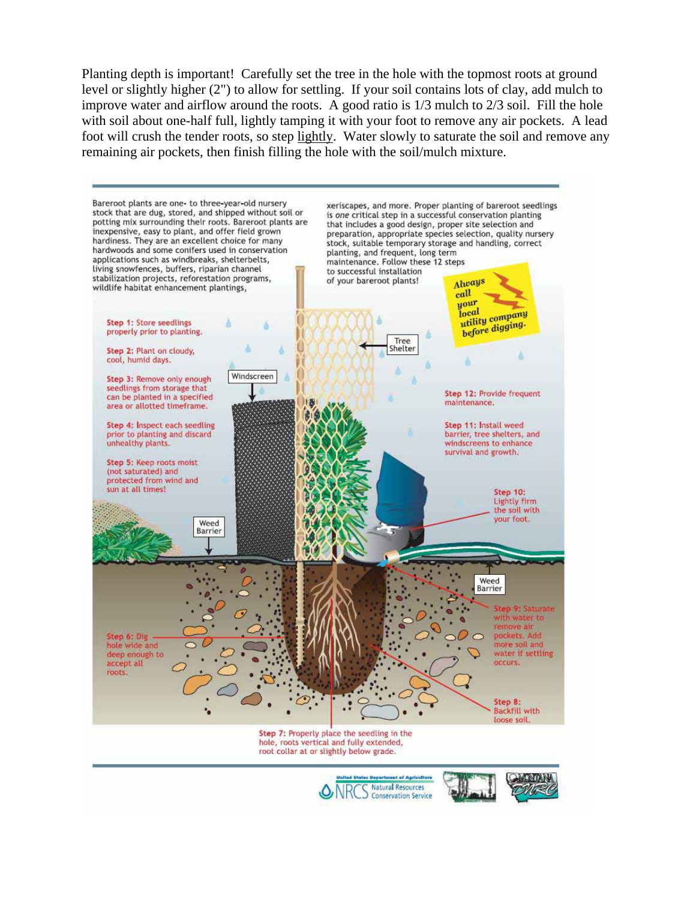Planting depth is important! Carefully set the tree in the hole with the topmost roots at ground level or slightly higher (2") to allow for settling. If your soil contains lots of clay, add mulch to improve water and airflow around the roots. A good ratio is 1/3 mulch to 2/3 soil. Fill the hole with soil about one-half full, lightly tamping it with your foot to remove any air pockets. A lead foot will crush the tender roots, so step lightly. Water slowly to saturate the soil and remove any remaining air pockets, then finish filling the hole with the soil/mulch mixture.





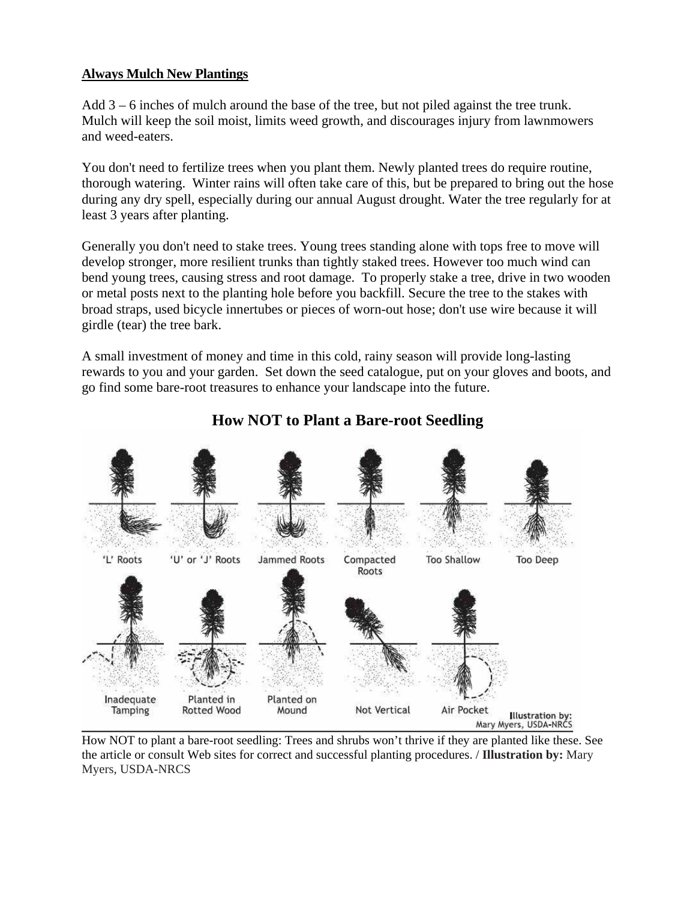#### **Always Mulch New Plantings**

Add 3 – 6 inches of mulch around the base of the tree, but not piled against the tree trunk. Mulch will keep the soil moist, limits weed growth, and discourages injury from lawnmowers and weed-eaters.

You don't need to fertilize trees when you plant them. Newly planted trees do require routine, thorough watering. Winter rains will often take care of this, but be prepared to bring out the hose during any dry spell, especially during our annual August drought. Water the tree regularly for at least 3 years after planting.

Generally you don't need to stake trees. Young trees standing alone with tops free to move will develop stronger, more resilient trunks than tightly staked trees. However too much wind can bend young trees, causing stress and root damage. To properly stake a tree, drive in two wooden or metal posts next to the planting hole before you backfill. Secure the tree to the stakes with broad straps, used bicycle innertubes or pieces of worn-out hose; don't use wire because it will girdle (tear) the tree bark.

A small investment of money and time in this cold, rainy season will provide long-lasting rewards to you and your garden. Set down the seed catalogue, put on your gloves and boots, and go find some bare-root treasures to enhance your landscape into the future.



### **How NOT to Plant a Bare-root Seedling**

How NOT to plant a bare-root seedling: Trees and shrubs won't thrive if they are planted like these. See the article or consult Web sites for correct and successful planting procedures. / **Illustration by:** Mary Myers, USDA-NRCS